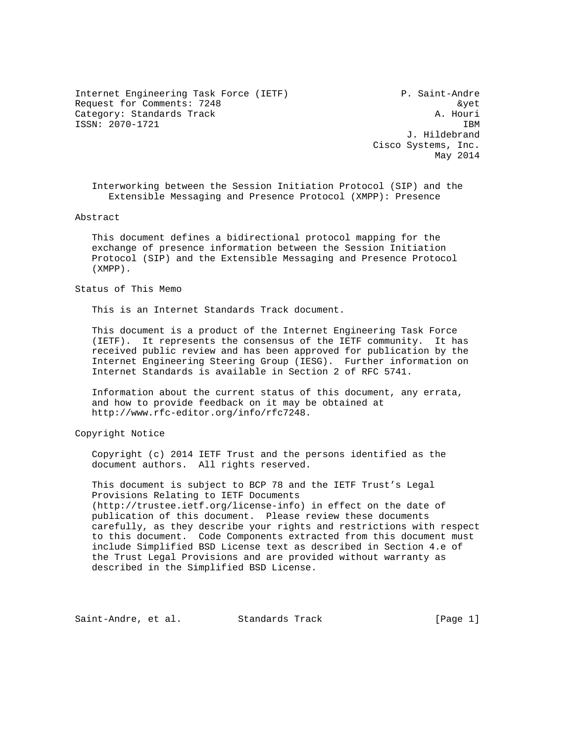Internet Engineering Task Force (IETF) P. Saint-Andre Request for Comments: 7248  $\&$ yet Category: Standards Track A. Houri ISSN: 2070-1721 IBM

 J. Hildebrand Cisco Systems, Inc. May 2014

 Interworking between the Session Initiation Protocol (SIP) and the Extensible Messaging and Presence Protocol (XMPP): Presence

Abstract

 This document defines a bidirectional protocol mapping for the exchange of presence information between the Session Initiation Protocol (SIP) and the Extensible Messaging and Presence Protocol (XMPP).

## Status of This Memo

This is an Internet Standards Track document.

 This document is a product of the Internet Engineering Task Force (IETF). It represents the consensus of the IETF community. It has received public review and has been approved for publication by the Internet Engineering Steering Group (IESG). Further information on Internet Standards is available in Section 2 of RFC 5741.

 Information about the current status of this document, any errata, and how to provide feedback on it may be obtained at http://www.rfc-editor.org/info/rfc7248.

Copyright Notice

 Copyright (c) 2014 IETF Trust and the persons identified as the document authors. All rights reserved.

 This document is subject to BCP 78 and the IETF Trust's Legal Provisions Relating to IETF Documents (http://trustee.ietf.org/license-info) in effect on the date of publication of this document. Please review these documents carefully, as they describe your rights and restrictions with respect to this document. Code Components extracted from this document must include Simplified BSD License text as described in Section 4.e of the Trust Legal Provisions and are provided without warranty as described in the Simplified BSD License.

Saint-Andre, et al. Standards Track [Page 1]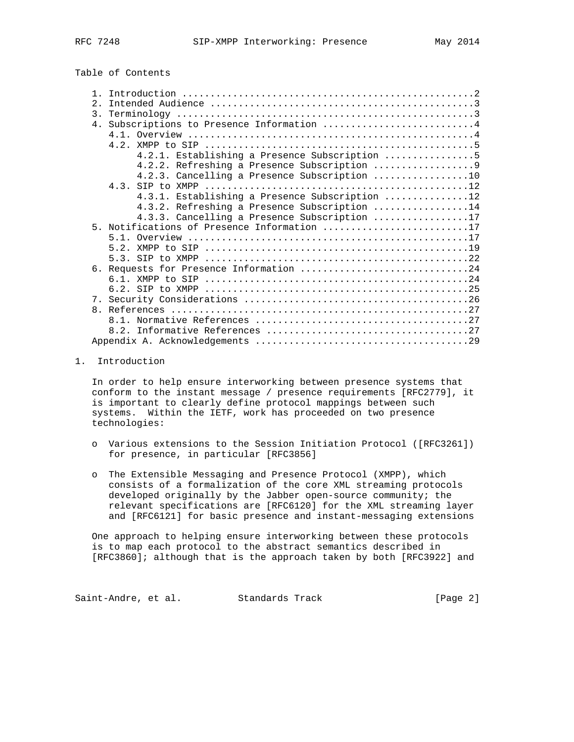| Table of Contents |  |
|-------------------|--|
|-------------------|--|

| 2. |                                                |
|----|------------------------------------------------|
|    |                                                |
|    | 4. Subscriptions to Presence Information 4     |
|    |                                                |
|    |                                                |
|    | 4.2.1. Establishing a Presence Subscription 5  |
|    |                                                |
|    | 4.2.3. Cancelling a Presence Subscription 10   |
|    |                                                |
|    | 4.3.1. Establishing a Presence Subscription 12 |
|    | 4.3.2. Refreshing a Presence Subscription 14   |
|    | $4.3.3.$ Cancelling a Presence Subscription 17 |
|    | 5. Notifications of Presence Information 17    |
|    |                                                |
|    |                                                |
|    |                                                |
|    | 6. Requests for Presence Information 24        |
|    |                                                |
|    |                                                |
|    |                                                |
|    |                                                |
|    |                                                |
|    |                                                |
|    |                                                |

### 1. Introduction

 In order to help ensure interworking between presence systems that conform to the instant message / presence requirements [RFC2779], it is important to clearly define protocol mappings between such systems. Within the IETF, work has proceeded on two presence technologies:

- o Various extensions to the Session Initiation Protocol ([RFC3261]) for presence, in particular [RFC3856]
- o The Extensible Messaging and Presence Protocol (XMPP), which consists of a formalization of the core XML streaming protocols developed originally by the Jabber open-source community; the relevant specifications are [RFC6120] for the XML streaming layer and [RFC6121] for basic presence and instant-messaging extensions

 One approach to helping ensure interworking between these protocols is to map each protocol to the abstract semantics described in [RFC3860]; although that is the approach taken by both [RFC3922] and

Saint-Andre, et al. Standards Track [Page 2]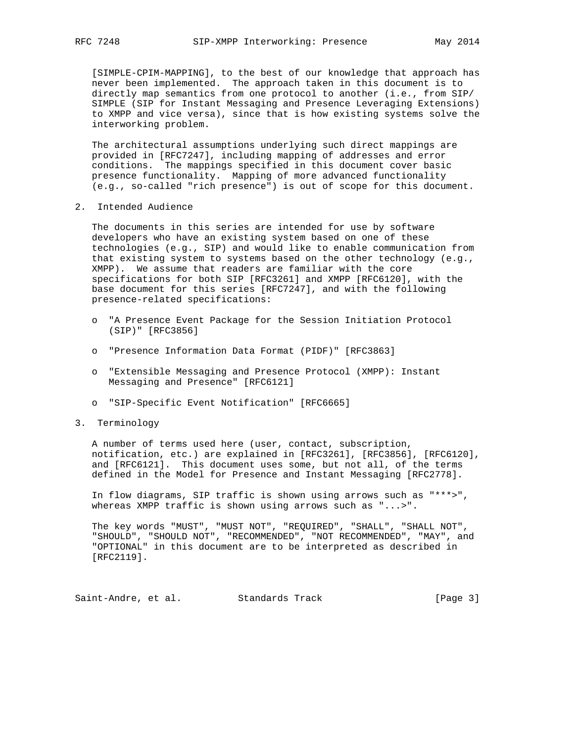[SIMPLE-CPIM-MAPPING], to the best of our knowledge that approach has never been implemented. The approach taken in this document is to directly map semantics from one protocol to another (i.e., from SIP/ SIMPLE (SIP for Instant Messaging and Presence Leveraging Extensions) to XMPP and vice versa), since that is how existing systems solve the interworking problem.

 The architectural assumptions underlying such direct mappings are provided in [RFC7247], including mapping of addresses and error conditions. The mappings specified in this document cover basic presence functionality. Mapping of more advanced functionality (e.g., so-called "rich presence") is out of scope for this document.

2. Intended Audience

 The documents in this series are intended for use by software developers who have an existing system based on one of these technologies (e.g., SIP) and would like to enable communication from that existing system to systems based on the other technology (e.g., XMPP). We assume that readers are familiar with the core specifications for both SIP [RFC3261] and XMPP [RFC6120], with the base document for this series [RFC7247], and with the following presence-related specifications:

- o "A Presence Event Package for the Session Initiation Protocol (SIP)" [RFC3856]
- o "Presence Information Data Format (PIDF)" [RFC3863]
- o "Extensible Messaging and Presence Protocol (XMPP): Instant Messaging and Presence" [RFC6121]
- o "SIP-Specific Event Notification" [RFC6665]
- 3. Terminology

 A number of terms used here (user, contact, subscription, notification, etc.) are explained in [RFC3261], [RFC3856], [RFC6120], and [RFC6121]. This document uses some, but not all, of the terms defined in the Model for Presence and Instant Messaging [RFC2778].

 In flow diagrams, SIP traffic is shown using arrows such as "\*\*\*>", whereas XMPP traffic is shown using arrows such as "...>".

 The key words "MUST", "MUST NOT", "REQUIRED", "SHALL", "SHALL NOT", "SHOULD", "SHOULD NOT", "RECOMMENDED", "NOT RECOMMENDED", "MAY", and "OPTIONAL" in this document are to be interpreted as described in [RFC2119].

Saint-Andre, et al. Standards Track [Page 3]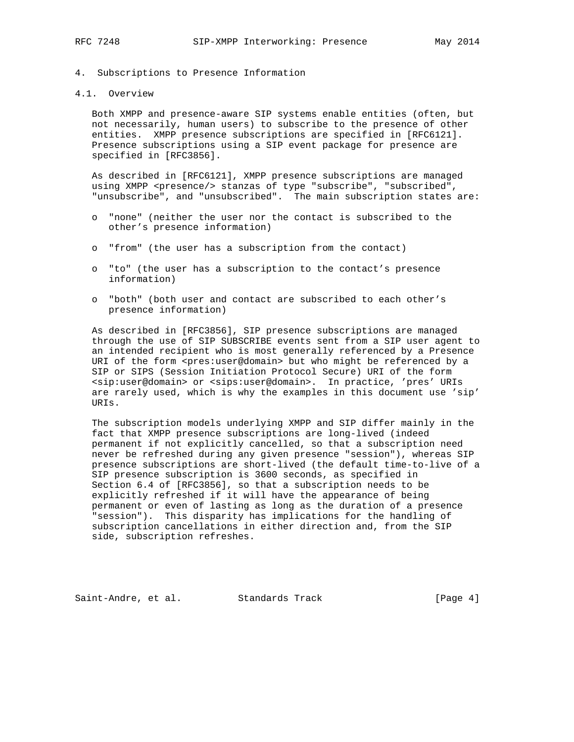4. Subscriptions to Presence Information

## 4.1. Overview

 Both XMPP and presence-aware SIP systems enable entities (often, but not necessarily, human users) to subscribe to the presence of other entities. XMPP presence subscriptions are specified in [RFC6121]. Presence subscriptions using a SIP event package for presence are specified in [RFC3856].

 As described in [RFC6121], XMPP presence subscriptions are managed using XMPP <presence/> stanzas of type "subscribe", "subscribed", "unsubscribe", and "unsubscribed". The main subscription states are:

- o "none" (neither the user nor the contact is subscribed to the other's presence information)
- o "from" (the user has a subscription from the contact)
- o "to" (the user has a subscription to the contact's presence information)
- o "both" (both user and contact are subscribed to each other's presence information)

 As described in [RFC3856], SIP presence subscriptions are managed through the use of SIP SUBSCRIBE events sent from a SIP user agent to an intended recipient who is most generally referenced by a Presence URI of the form <pres:user@domain> but who might be referenced by a SIP or SIPS (Session Initiation Protocol Secure) URI of the form <sip:user@domain> or <sips:user@domain>. In practice, 'pres' URIs are rarely used, which is why the examples in this document use 'sip' URIs.

 The subscription models underlying XMPP and SIP differ mainly in the fact that XMPP presence subscriptions are long-lived (indeed permanent if not explicitly cancelled, so that a subscription need never be refreshed during any given presence "session"), whereas SIP presence subscriptions are short-lived (the default time-to-live of a SIP presence subscription is 3600 seconds, as specified in Section 6.4 of [RFC3856], so that a subscription needs to be explicitly refreshed if it will have the appearance of being permanent or even of lasting as long as the duration of a presence "session"). This disparity has implications for the handling of subscription cancellations in either direction and, from the SIP side, subscription refreshes.

Saint-Andre, et al. Standards Track [Page 4]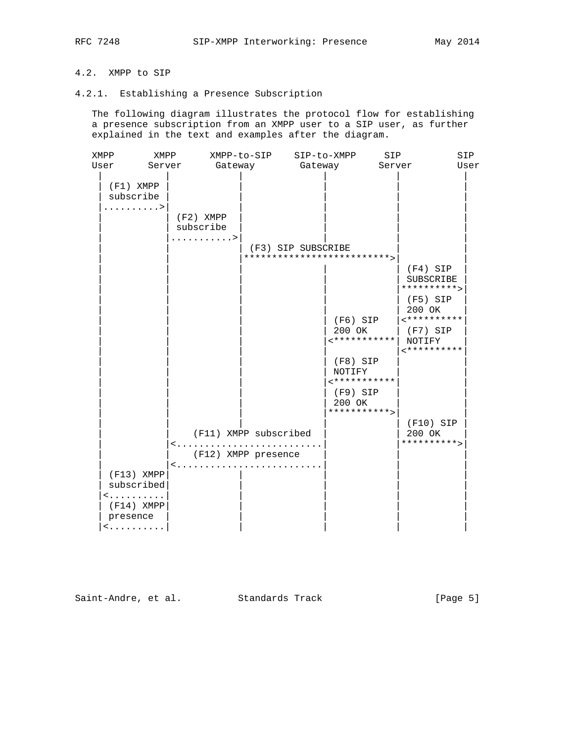# 4.2. XMPP to SIP

## 4.2.1. Establishing a Presence Subscription

 The following diagram illustrates the protocol flow for establishing a presence subscription from an XMPP user to a SIP user, as further explained in the text and examples after the diagram.

| XMPP                                                                                                  | XMPP                     | XMPP-to-SIP                                  | SIP-to-XMPP                                                                                                                                             | SIP                                                                                                                      | SIP  |
|-------------------------------------------------------------------------------------------------------|--------------------------|----------------------------------------------|---------------------------------------------------------------------------------------------------------------------------------------------------------|--------------------------------------------------------------------------------------------------------------------------|------|
| User                                                                                                  | Server                   | Gateway                                      | Gateway                                                                                                                                                 | Server                                                                                                                   | User |
| $(F1)$ XMPP<br>subscribe<br>. >                                                                       |                          | $(F2)$ XMPP<br>subscribe<br>. >              | (F3) SIP SUBSCRIBE<br>**************************<br>$(F6)$ SIP<br>200 OK<br>***********<br>$(F8)$ SIP<br>NOTIFY<br><***********<br>$(F9)$ SIP<br>200 OK | $(F4)$ SIP<br>SUBSCRIBE<br>**********><br>$(F5)$ SIP<br>200 OK<br>$*$ **********<br>(F7) SIP<br>NOTIFY<br>$*$ ********** |      |
| $(F13)$ XMPP<br>subscribed<br><<br>$(F14)$ XMPP<br>presence<br>$\langle \ldots \ldots \ldots \rangle$ | $\langle \ldots \rangle$ | (F11) XMPP subscribed<br>(F12) XMPP presence | ***********>                                                                                                                                            | $(F10)$ SIP<br>200 OK<br>********** >                                                                                    |      |

Saint-Andre, et al. Standards Track [Page 5]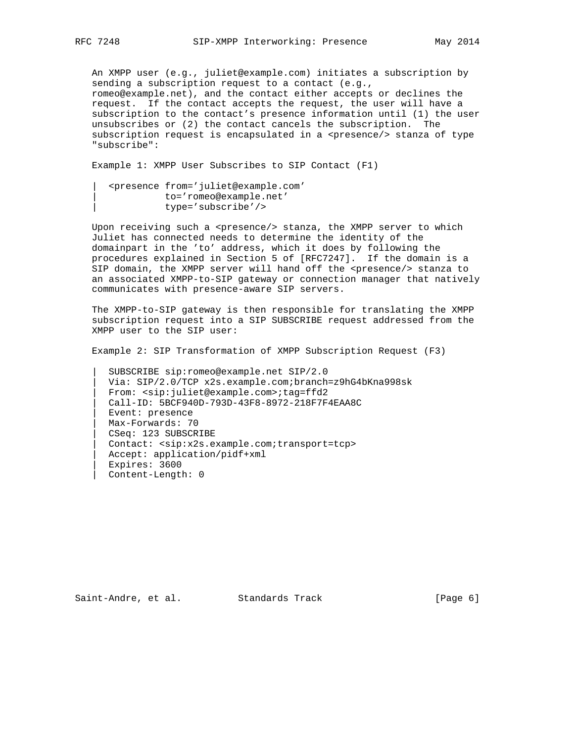An XMPP user (e.g., juliet@example.com) initiates a subscription by sending a subscription request to a contact (e.g., romeo@example.net), and the contact either accepts or declines the request. If the contact accepts the request, the user will have a subscription to the contact's presence information until (1) the user unsubscribes or (2) the contact cancels the subscription. The subscription request is encapsulated in a <presence/> stanza of type "subscribe":

Example 1: XMPP User Subscribes to SIP Contact (F1)

 | <presence from='juliet@example.com' | to='romeo@example.net' | type='subscribe'/>

 Upon receiving such a <presence/> stanza, the XMPP server to which Juliet has connected needs to determine the identity of the domainpart in the 'to' address, which it does by following the procedures explained in Section 5 of [RFC7247]. If the domain is a SIP domain, the XMPP server will hand off the <presence/> stanza to an associated XMPP-to-SIP gateway or connection manager that natively communicates with presence-aware SIP servers.

 The XMPP-to-SIP gateway is then responsible for translating the XMPP subscription request into a SIP SUBSCRIBE request addressed from the XMPP user to the SIP user:

Example 2: SIP Transformation of XMPP Subscription Request (F3)

 | SUBSCRIBE sip:romeo@example.net SIP/2.0 | Via: SIP/2.0/TCP x2s.example.com;branch=z9hG4bKna998sk | From: <sip:juliet@example.com>;tag=ffd2 | Call-ID: 5BCF940D-793D-43F8-8972-218F7F4EAA8C | Event: presence | Max-Forwards: 70 | CSeq: 123 SUBSCRIBE | Contact: <sip:x2s.example.com;transport=tcp> | Accept: application/pidf+xml | Expires: 3600 | Content-Length: 0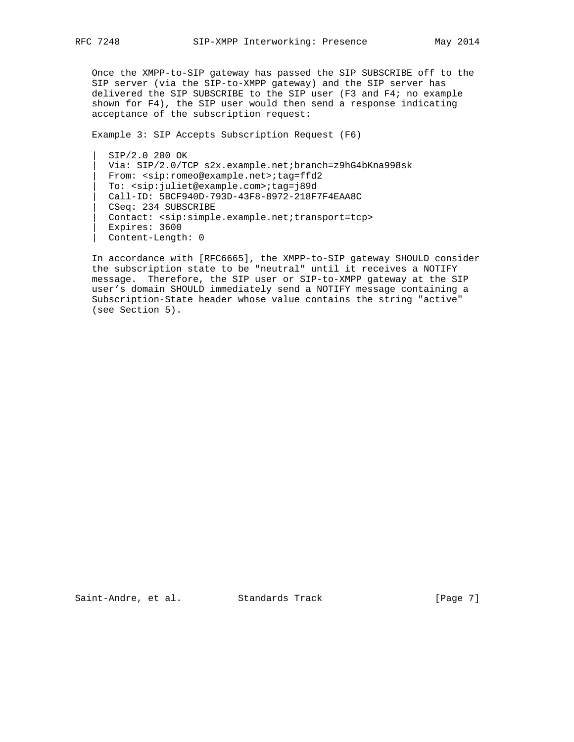Once the XMPP-to-SIP gateway has passed the SIP SUBSCRIBE off to the SIP server (via the SIP-to-XMPP gateway) and the SIP server has delivered the SIP SUBSCRIBE to the SIP user (F3 and F4; no example shown for F4), the SIP user would then send a response indicating acceptance of the subscription request:

Example 3: SIP Accepts Subscription Request (F6)

 | SIP/2.0 200 OK Via: SIP/2.0/TCP s2x.example.net;branch=z9hG4bKna998sk | From: <sip:romeo@example.net>;tag=ffd2 | To: <sip:juliet@example.com>;tag=j89d | Call-ID: 5BCF940D-793D-43F8-8972-218F7F4EAA8C | CSeq: 234 SUBSCRIBE | Contact: <sip:simple.example.net;transport=tcp> | Expires: 3600 | Content-Length: 0

 In accordance with [RFC6665], the XMPP-to-SIP gateway SHOULD consider the subscription state to be "neutral" until it receives a NOTIFY message. Therefore, the SIP user or SIP-to-XMPP gateway at the SIP user's domain SHOULD immediately send a NOTIFY message containing a Subscription-State header whose value contains the string "active" (see Section 5).

Saint-Andre, et al. Standards Track [Page 7]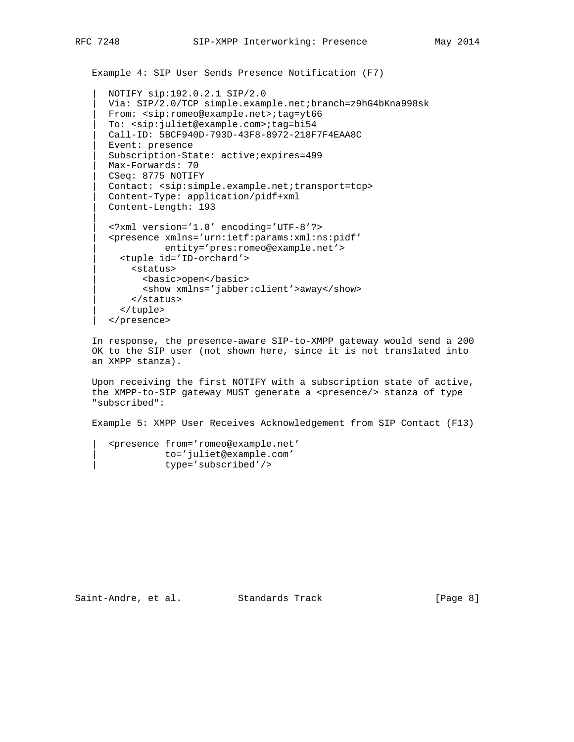```
 Example 4: SIP User Sends Presence Notification (F7)
```

```
 | NOTIFY sip:192.0.2.1 SIP/2.0
| Via: SIP/2.0/TCP simple.example.net;branch=z9hG4bKna998sk
| From: <sip:romeo@example.net>;tag=yt66
| To: <sip:juliet@example.com>;tag=bi54
| Call-ID: 5BCF940D-793D-43F8-8972-218F7F4EAA8C
| Event: presence
| Subscription-State: active;expires=499
| Max-Forwards: 70
| CSeq: 8775 NOTIFY
| Contact: <sip:simple.example.net;transport=tcp>
| Content-Type: application/pidf+xml
| Content-Length: 193
| <?xml version='1.0' encoding='UTF-8'?>
| <presence xmlns='urn:ietf:params:xml:ns:pidf'
          | entity='pres:romeo@example.net'>
  | <tuple id='ID-orchard'>
    | <status>
      | <basic>open</basic>
      | <show xmlns='jabber:client'>away</show>
    | </status>
  | </tuple>
```

```
 | </presence>
```
 In response, the presence-aware SIP-to-XMPP gateway would send a 200 OK to the SIP user (not shown here, since it is not translated into an XMPP stanza).

 Upon receiving the first NOTIFY with a subscription state of active, the XMPP-to-SIP gateway MUST generate a <presence/> stanza of type "subscribed":

Example 5: XMPP User Receives Acknowledgement from SIP Contact (F13)

```
 | <presence from='romeo@example.net'
         | to='juliet@example.com'
          | type='subscribed'/>
```
Saint-Andre, et al. Standards Track [Page 8]

|| ||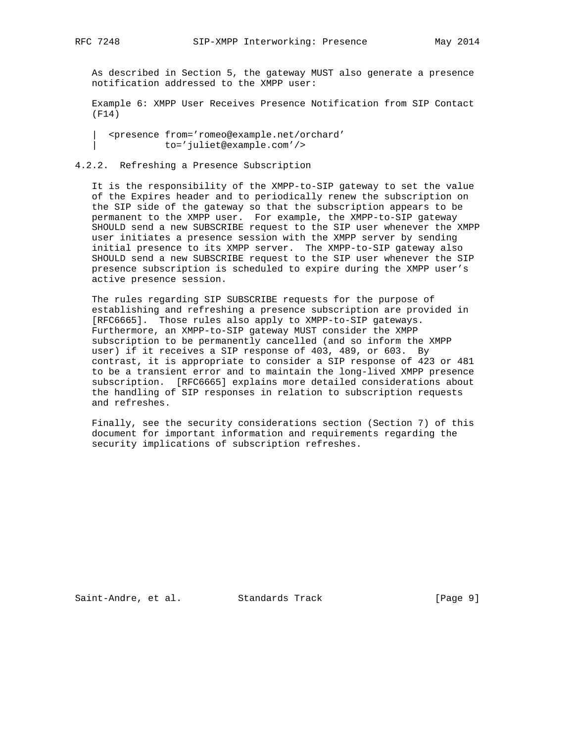As described in Section 5, the gateway MUST also generate a presence notification addressed to the XMPP user:

 Example 6: XMPP User Receives Presence Notification from SIP Contact (F14)

 | <presence from='romeo@example.net/orchard' | to='juliet@example.com'/>

## 4.2.2. Refreshing a Presence Subscription

 It is the responsibility of the XMPP-to-SIP gateway to set the value of the Expires header and to periodically renew the subscription on the SIP side of the gateway so that the subscription appears to be permanent to the XMPP user. For example, the XMPP-to-SIP gateway SHOULD send a new SUBSCRIBE request to the SIP user whenever the XMPP user initiates a presence session with the XMPP server by sending initial presence to its XMPP server. The XMPP-to-SIP gateway also SHOULD send a new SUBSCRIBE request to the SIP user whenever the SIP presence subscription is scheduled to expire during the XMPP user's active presence session.

 The rules regarding SIP SUBSCRIBE requests for the purpose of establishing and refreshing a presence subscription are provided in [RFC6665]. Those rules also apply to XMPP-to-SIP gateways. Furthermore, an XMPP-to-SIP gateway MUST consider the XMPP subscription to be permanently cancelled (and so inform the XMPP user) if it receives a SIP response of 403, 489, or 603. By contrast, it is appropriate to consider a SIP response of 423 or 481 to be a transient error and to maintain the long-lived XMPP presence subscription. [RFC6665] explains more detailed considerations about the handling of SIP responses in relation to subscription requests and refreshes.

 Finally, see the security considerations section (Section 7) of this document for important information and requirements regarding the security implications of subscription refreshes.

Saint-Andre, et al. Standards Track [Page 9]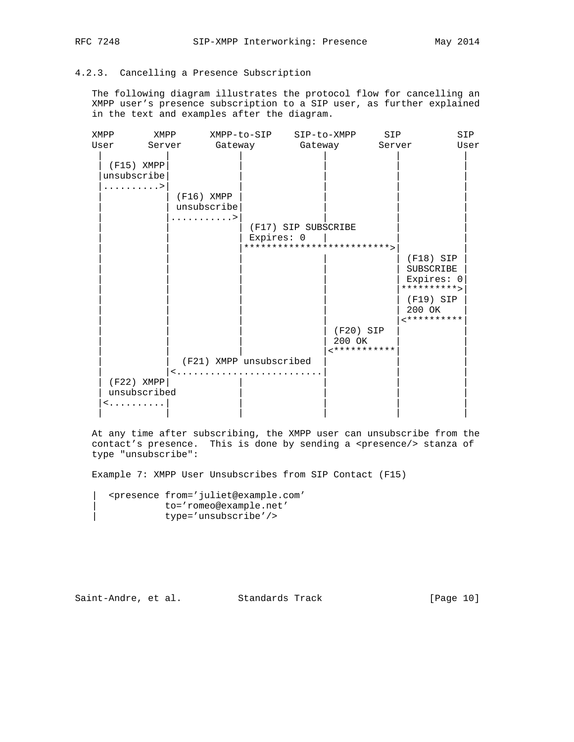# 4.2.3. Cancelling a Presence Subscription

 The following diagram illustrates the protocol flow for cancelling an XMPP user's presence subscription to a SIP user, as further explained in the text and examples after the diagram.

| XMPP                         | XMPP |              |             |                         | XMPP-to-SIP SIP-to-XMPP    |                                      | SIP    |                                                        | SIP  |
|------------------------------|------|--------------|-------------|-------------------------|----------------------------|--------------------------------------|--------|--------------------------------------------------------|------|
| User                         |      |              |             |                         | Server Gateway Gateway     |                                      | Server |                                                        | User |
| $(F15)$ XMPP<br>unsubscribe  |      |              |             |                         |                            |                                      |        |                                                        |      |
| . >                          |      | $(F16)$ XMPP | unsubscribe |                         |                            |                                      |        |                                                        |      |
|                              |      |              | . >         |                         |                            |                                      |        |                                                        |      |
|                              |      |              |             |                         | (F17) SIP SUBSCRIBE        |                                      |        |                                                        |      |
|                              |      |              |             | Expires: 0              |                            |                                      |        |                                                        |      |
|                              |      |              |             |                         | ************************** |                                      |        |                                                        |      |
|                              |      |              |             |                         |                            |                                      |        | $(F18)$ SIP<br>SUBSCRIBE<br>Expires: 0<br>********** > |      |
|                              |      |              |             |                         |                            |                                      |        | $(F19)$ SIP<br>200 OK<br>**********                    |      |
|                              |      |              |             |                         |                            | $(F20)$ SIP<br>200 OK<br>*********** |        |                                                        |      |
|                              |      |              |             | (F21) XMPP unsubscribed |                            |                                      |        |                                                        |      |
| $(F22)$ XMPP<br>unsubscribed |      | $\leq$ .     |             |                         |                            |                                      |        |                                                        |      |
| $\leq$ .                     |      |              |             |                         |                            |                                      |        |                                                        |      |
|                              |      |              |             |                         |                            |                                      |        |                                                        |      |

 At any time after subscribing, the XMPP user can unsubscribe from the contact's presence. This is done by sending a <presence/> stanza of type "unsubscribe":

Example 7: XMPP User Unsubscribes from SIP Contact (F15)

 | <presence from='juliet@example.com' | to='romeo@example.net' | type='unsubscribe'/>

Saint-Andre, et al. Standards Track [Page 10]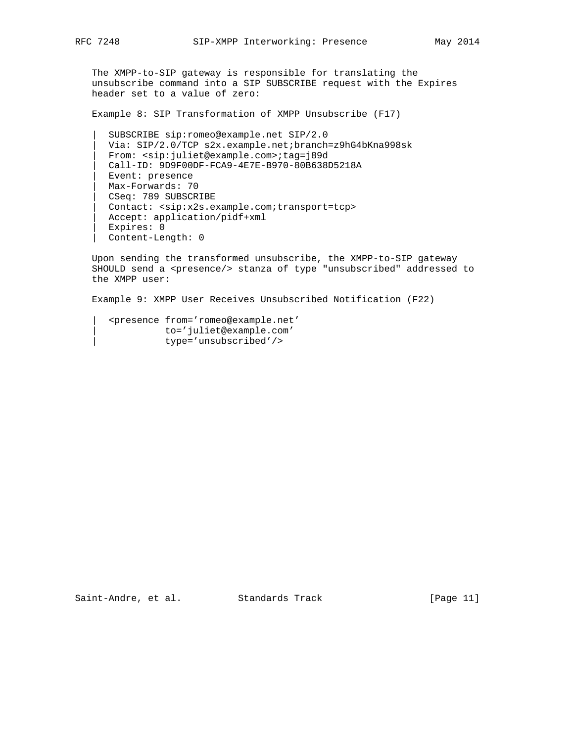The XMPP-to-SIP gateway is responsible for translating the unsubscribe command into a SIP SUBSCRIBE request with the Expires header set to a value of zero:

Example 8: SIP Transformation of XMPP Unsubscribe (F17)

 | SUBSCRIBE sip:romeo@example.net SIP/2.0 | Via: SIP/2.0/TCP s2x.example.net;branch=z9hG4bKna998sk | From: <sip:juliet@example.com>;tag=j89d | Call-ID: 9D9F00DF-FCA9-4E7E-B970-80B638D5218A | Event: presence | Max-Forwards: 70 | CSeq: 789 SUBSCRIBE | Contact: <sip:x2s.example.com;transport=tcp> | Accept: application/pidf+xml | Expires: 0 | Content-Length: 0

 Upon sending the transformed unsubscribe, the XMPP-to-SIP gateway SHOULD send a <presence/> stanza of type "unsubscribed" addressed to the XMPP user:

Example 9: XMPP User Receives Unsubscribed Notification (F22)

 | <presence from='romeo@example.net' | to='juliet@example.com' | type='unsubscribed'/>

Saint-Andre, et al. Standards Track [Page 11]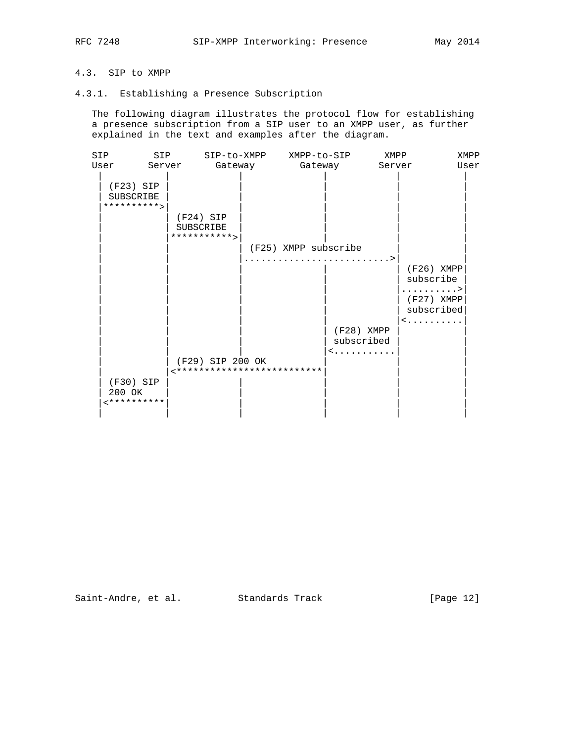# 4.3. SIP to XMPP

## 4.3.1. Establishing a Presence Subscription

 The following diagram illustrates the protocol flow for establishing a presence subscription from a SIP user to an XMPP user, as further explained in the text and examples after the diagram.

| SIP<br>SIP                                      |                                                  | SIP-to-XMPP XMPP-to-SIP |                                      | XMPP   |                                                                        | XMPP |
|-------------------------------------------------|--------------------------------------------------|-------------------------|--------------------------------------|--------|------------------------------------------------------------------------|------|
| User<br>Server                                  | Gateway                                          |                         | Gateway                              | Server |                                                                        | User |
| $(F23)$ SIP<br><b>SUBSCRIBE</b><br>********** > |                                                  |                         |                                      |        |                                                                        |      |
|                                                 | $(F24)$ SIP<br><b>SUBSCRIBE</b><br>*********** > |                         |                                      |        |                                                                        |      |
|                                                 |                                                  | (F25) XMPP subscribe    |                                      |        |                                                                        |      |
|                                                 |                                                  |                         | $(F28)$ XMPP<br>subscribed<br>$\leq$ |        | (F26) XMPP<br>subscribe<br>. ><br>(F27) XMPP<br>subscribed<br>$\leq$ . |      |
|                                                 | (F29) SIP 200 OK                                 |                         |                                      |        |                                                                        |      |
| (F30) SIP<br>200 OK<br>**********               | **************************                       |                         |                                      |        |                                                                        |      |

Saint-Andre, et al. Standards Track [Page 12]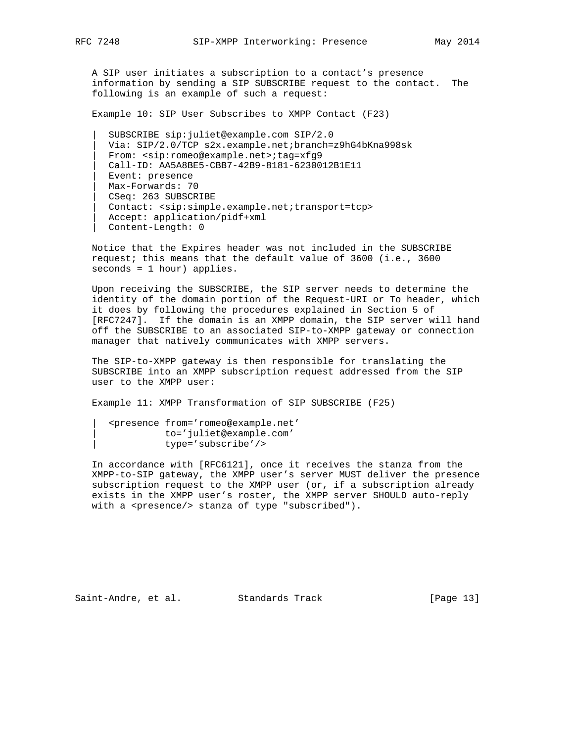A SIP user initiates a subscription to a contact's presence information by sending a SIP SUBSCRIBE request to the contact. The following is an example of such a request:

Example 10: SIP User Subscribes to XMPP Contact (F23)

 | SUBSCRIBE sip:juliet@example.com SIP/2.0 | Via: SIP/2.0/TCP s2x.example.net;branch=z9hG4bKna998sk | From: <sip:romeo@example.net>;tag=xfg9 | Call-ID: AA5A8BE5-CBB7-42B9-8181-6230012B1E11 | Event: presence | Max-Forwards: 70 | CSeq: 263 SUBSCRIBE | Contact: <sip:simple.example.net;transport=tcp> | Accept: application/pidf+xml | Content-Length: 0

 Notice that the Expires header was not included in the SUBSCRIBE request; this means that the default value of 3600 (i.e., 3600 seconds = 1 hour) applies.

 Upon receiving the SUBSCRIBE, the SIP server needs to determine the identity of the domain portion of the Request-URI or To header, which it does by following the procedures explained in Section 5 of [RFC7247]. If the domain is an XMPP domain, the SIP server will hand off the SUBSCRIBE to an associated SIP-to-XMPP gateway or connection manager that natively communicates with XMPP servers.

 The SIP-to-XMPP gateway is then responsible for translating the SUBSCRIBE into an XMPP subscription request addressed from the SIP user to the XMPP user:

Example 11: XMPP Transformation of SIP SUBSCRIBE (F25)

 | <presence from='romeo@example.net' | to='juliet@example.com' | type='subscribe'/>

 In accordance with [RFC6121], once it receives the stanza from the XMPP-to-SIP gateway, the XMPP user's server MUST deliver the presence subscription request to the XMPP user (or, if a subscription already exists in the XMPP user's roster, the XMPP server SHOULD auto-reply with a <presence/> stanza of type "subscribed").

Saint-Andre, et al. Standards Track [Page 13]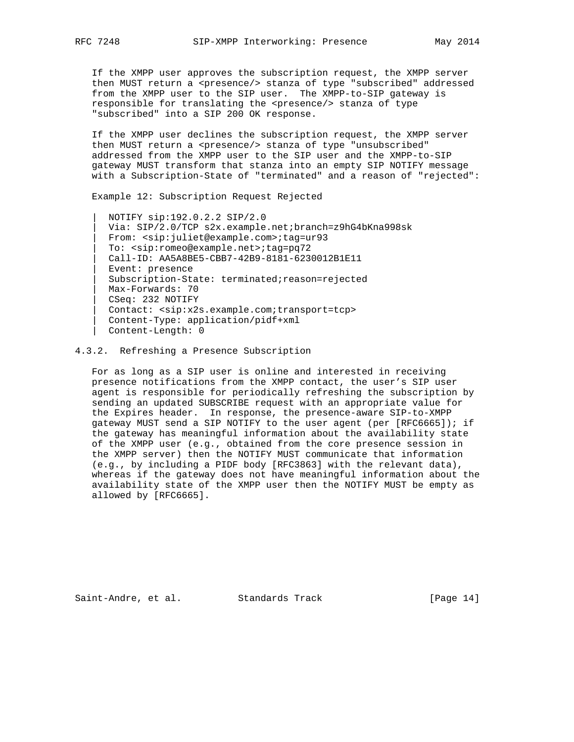If the XMPP user approves the subscription request, the XMPP server then MUST return a <presence/> stanza of type "subscribed" addressed from the XMPP user to the SIP user. The XMPP-to-SIP gateway is responsible for translating the <presence/> stanza of type "subscribed" into a SIP 200 OK response.

 If the XMPP user declines the subscription request, the XMPP server then MUST return a <presence/> stanza of type "unsubscribed" addressed from the XMPP user to the SIP user and the XMPP-to-SIP gateway MUST transform that stanza into an empty SIP NOTIFY message with a Subscription-State of "terminated" and a reason of "rejected":

Example 12: Subscription Request Rejected

 | NOTIFY sip:192.0.2.2 SIP/2.0 | Via: SIP/2.0/TCP s2x.example.net;branch=z9hG4bKna998sk | From: <sip:juliet@example.com>;tag=ur93 | To: <sip:romeo@example.net>;tag=pq72 | Call-ID: AA5A8BE5-CBB7-42B9-8181-6230012B1E11 Event: presence | Subscription-State: terminated;reason=rejected | Max-Forwards: 70 | CSeq: 232 NOTIFY | Contact: <sip:x2s.example.com;transport=tcp> | Content-Type: application/pidf+xml | Content-Length: 0

4.3.2. Refreshing a Presence Subscription

 For as long as a SIP user is online and interested in receiving presence notifications from the XMPP contact, the user's SIP user agent is responsible for periodically refreshing the subscription by sending an updated SUBSCRIBE request with an appropriate value for the Expires header. In response, the presence-aware SIP-to-XMPP gateway MUST send a SIP NOTIFY to the user agent (per [RFC6665]); if the gateway has meaningful information about the availability state of the XMPP user (e.g., obtained from the core presence session in the XMPP server) then the NOTIFY MUST communicate that information (e.g., by including a PIDF body [RFC3863] with the relevant data), whereas if the gateway does not have meaningful information about the availability state of the XMPP user then the NOTIFY MUST be empty as allowed by [RFC6665].

Saint-Andre, et al. Standards Track [Page 14]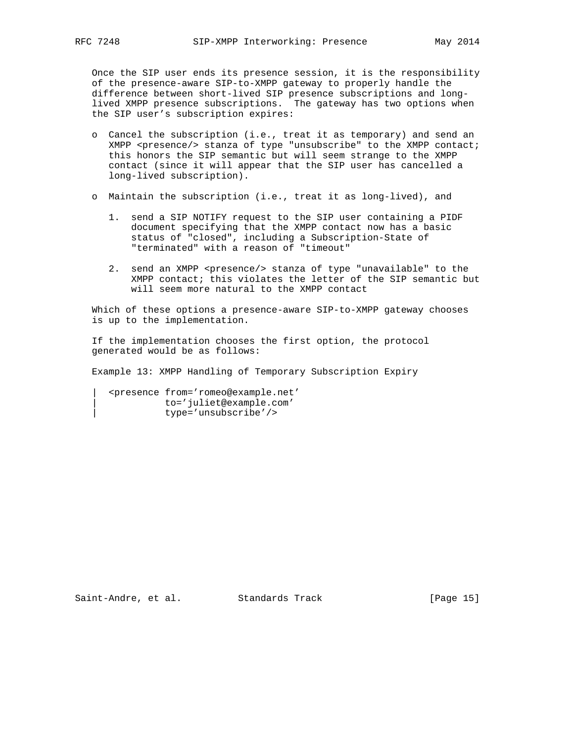Once the SIP user ends its presence session, it is the responsibility of the presence-aware SIP-to-XMPP gateway to properly handle the difference between short-lived SIP presence subscriptions and long lived XMPP presence subscriptions. The gateway has two options when the SIP user's subscription expires:

- o Cancel the subscription (i.e., treat it as temporary) and send an  $XMPP$  <presence/> stanza of type "unsubscribe" to the XMPP contact; this honors the SIP semantic but will seem strange to the XMPP contact (since it will appear that the SIP user has cancelled a long-lived subscription).
- o Maintain the subscription (i.e., treat it as long-lived), and
	- 1. send a SIP NOTIFY request to the SIP user containing a PIDF document specifying that the XMPP contact now has a basic status of "closed", including a Subscription-State of "terminated" with a reason of "timeout"
	- 2. send an XMPP <presence/> stanza of type "unavailable" to the XMPP contact; this violates the letter of the SIP semantic but will seem more natural to the XMPP contact

 Which of these options a presence-aware SIP-to-XMPP gateway chooses is up to the implementation.

 If the implementation chooses the first option, the protocol generated would be as follows:

Example 13: XMPP Handling of Temporary Subscription Expiry

 | <presence from='romeo@example.net' | to='juliet@example.com' | type='unsubscribe'/>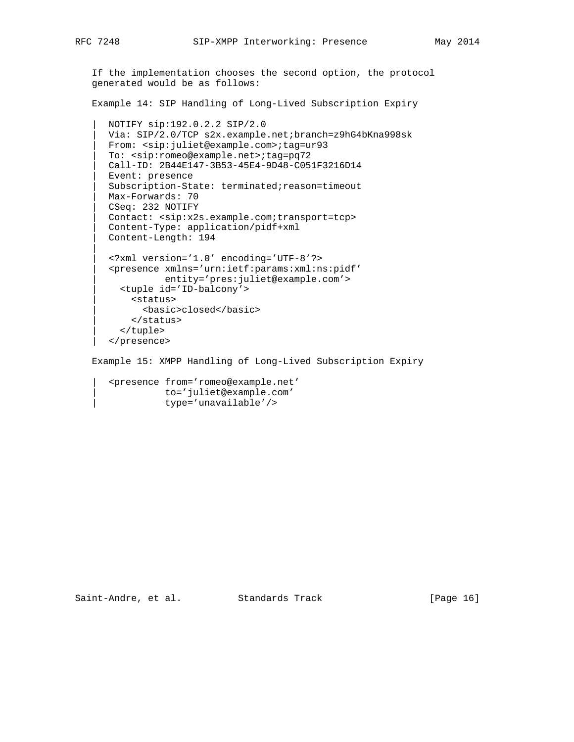|| ||

```
 If the implementation chooses the second option, the protocol
generated would be as follows:
```
Example 14: SIP Handling of Long-Lived Subscription Expiry

```
 | NOTIFY sip:192.0.2.2 SIP/2.0
| Via: SIP/2.0/TCP s2x.example.net;branch=z9hG4bKna998sk
| From: <sip:juliet@example.com>;tag=ur93
| To: <sip:romeo@example.net>;tag=pq72
| Call-ID: 2B44E147-3B53-45E4-9D48-C051F3216D14
| Event: presence
| Subscription-State: terminated;reason=timeout
| Max-Forwards: 70
| CSeq: 232 NOTIFY
| Contact: <sip:x2s.example.com;transport=tcp>
| Content-Type: application/pidf+xml
| Content-Length: 194
| <?xml version='1.0' encoding='UTF-8'?>
| <presence xmlns='urn:ietf:params:xml:ns:pidf'
          | entity='pres:juliet@example.com'>
  | <tuple id='ID-balcony'>
    | <status>
      | <basic>closed</basic>
    | </status>
  | </tuple>
| </presence>
```
Example 15: XMPP Handling of Long-Lived Subscription Expiry

 | <presence from='romeo@example.net' | to='juliet@example.com' | type='unavailable'/>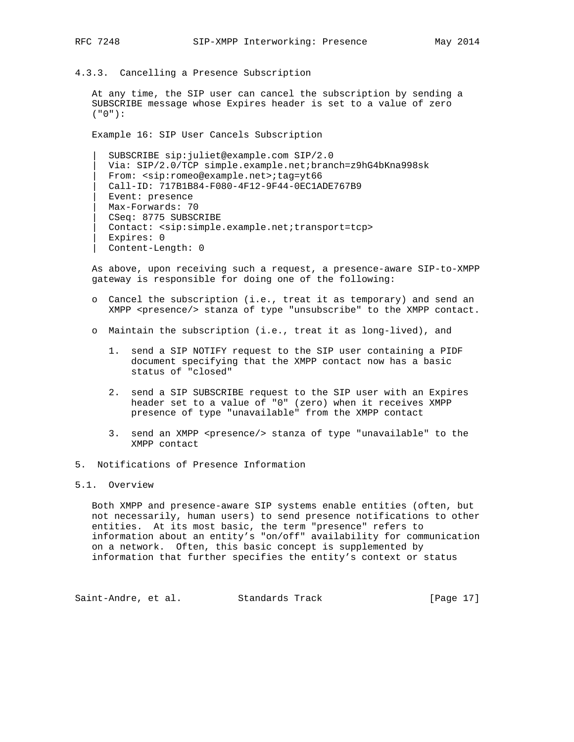- 
- 4.3.3. Cancelling a Presence Subscription

 At any time, the SIP user can cancel the subscription by sending a SUBSCRIBE message whose Expires header is set to a value of zero ("0"):

Example 16: SIP User Cancels Subscription

 | SUBSCRIBE sip:juliet@example.com SIP/2.0 | Via: SIP/2.0/TCP simple.example.net;branch=z9hG4bKna998sk | From: <sip:romeo@example.net>;tag=yt66 | Call-ID: 717B1B84-F080-4F12-9F44-0EC1ADE767B9 | Event: presence | Max-Forwards: 70 | CSeq: 8775 SUBSCRIBE | Contact: <sip:simple.example.net;transport=tcp> | Expires: 0 | Content-Length: 0

 As above, upon receiving such a request, a presence-aware SIP-to-XMPP gateway is responsible for doing one of the following:

- o Cancel the subscription (i.e., treat it as temporary) and send an XMPP <presence/> stanza of type "unsubscribe" to the XMPP contact.
- o Maintain the subscription (i.e., treat it as long-lived), and
	- 1. send a SIP NOTIFY request to the SIP user containing a PIDF document specifying that the XMPP contact now has a basic status of "closed"
	- 2. send a SIP SUBSCRIBE request to the SIP user with an Expires header set to a value of "0" (zero) when it receives XMPP presence of type "unavailable" from the XMPP contact
	- 3. send an XMPP <presence/> stanza of type "unavailable" to the XMPP contact
- 5. Notifications of Presence Information

## 5.1. Overview

 Both XMPP and presence-aware SIP systems enable entities (often, but not necessarily, human users) to send presence notifications to other entities. At its most basic, the term "presence" refers to information about an entity's "on/off" availability for communication on a network. Often, this basic concept is supplemented by information that further specifies the entity's context or status

Saint-Andre, et al. Standards Track [Page 17]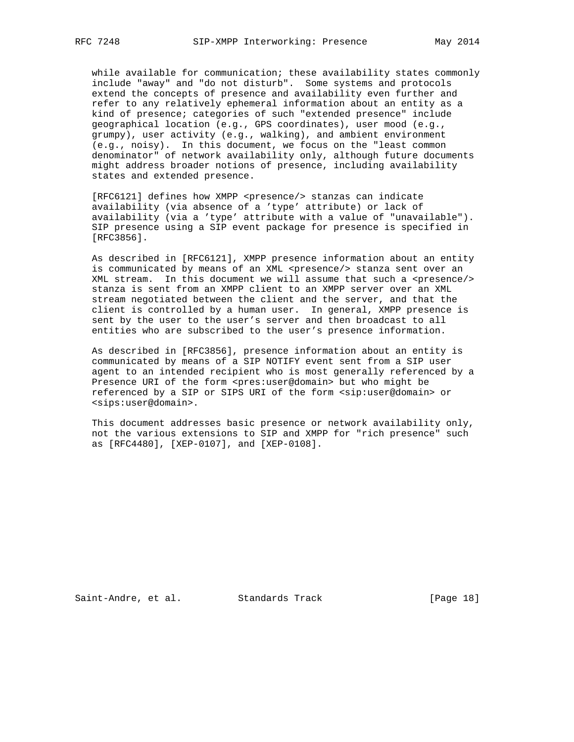while available for communication; these availability states commonly include "away" and "do not disturb". Some systems and protocols extend the concepts of presence and availability even further and refer to any relatively ephemeral information about an entity as a kind of presence; categories of such "extended presence" include geographical location (e.g., GPS coordinates), user mood (e.g., grumpy), user activity (e.g., walking), and ambient environment (e.g., noisy). In this document, we focus on the "least common denominator" of network availability only, although future documents might address broader notions of presence, including availability states and extended presence.

[RFC6121] defines how XMPP <presence/> stanzas can indicate availability (via absence of a 'type' attribute) or lack of availability (via a 'type' attribute with a value of "unavailable"). SIP presence using a SIP event package for presence is specified in [RFC3856].

 As described in [RFC6121], XMPP presence information about an entity is communicated by means of an XML <presence/> stanza sent over an XML stream. In this document we will assume that such a <presence/> stanza is sent from an XMPP client to an XMPP server over an XML stream negotiated between the client and the server, and that the client is controlled by a human user. In general, XMPP presence is sent by the user to the user's server and then broadcast to all entities who are subscribed to the user's presence information.

 As described in [RFC3856], presence information about an entity is communicated by means of a SIP NOTIFY event sent from a SIP user agent to an intended recipient who is most generally referenced by a Presence URI of the form <pres:user@domain> but who might be referenced by a SIP or SIPS URI of the form <sip:user@domain> or <sips:user@domain>.

 This document addresses basic presence or network availability only, not the various extensions to SIP and XMPP for "rich presence" such as [RFC4480], [XEP-0107], and [XEP-0108].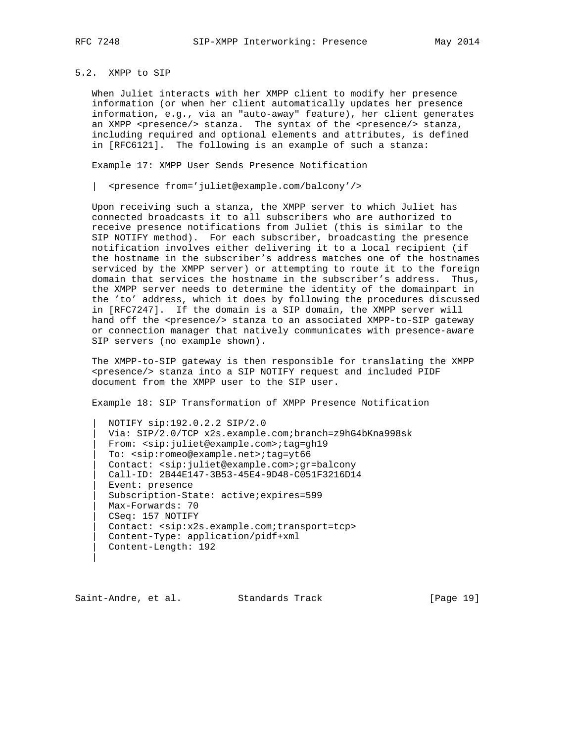|| ||

## 5.2. XMPP to SIP

 When Juliet interacts with her XMPP client to modify her presence information (or when her client automatically updates her presence information, e.g., via an "auto-away" feature), her client generates an XMPP <presence/> stanza. The syntax of the <presence/> stanza, including required and optional elements and attributes, is defined in [RFC6121]. The following is an example of such a stanza:

Example 17: XMPP User Sends Presence Notification

| <presence from='juliet@example.com/balcony'/>

 Upon receiving such a stanza, the XMPP server to which Juliet has connected broadcasts it to all subscribers who are authorized to receive presence notifications from Juliet (this is similar to the SIP NOTIFY method). For each subscriber, broadcasting the presence notification involves either delivering it to a local recipient (if the hostname in the subscriber's address matches one of the hostnames serviced by the XMPP server) or attempting to route it to the foreign domain that services the hostname in the subscriber's address. Thus, the XMPP server needs to determine the identity of the domainpart in the 'to' address, which it does by following the procedures discussed in [RFC7247]. If the domain is a SIP domain, the XMPP server will hand off the <presence/> stanza to an associated XMPP-to-SIP gateway or connection manager that natively communicates with presence-aware SIP servers (no example shown).

 The XMPP-to-SIP gateway is then responsible for translating the XMPP <presence/> stanza into a SIP NOTIFY request and included PIDF document from the XMPP user to the SIP user.

Example 18: SIP Transformation of XMPP Presence Notification

 | NOTIFY sip:192.0.2.2 SIP/2.0 | Via: SIP/2.0/TCP x2s.example.com;branch=z9hG4bKna998sk | From: <sip:juliet@example.com>;tag=gh19 | To: <sip:romeo@example.net>;tag=yt66 | Contact: <sip:juliet@example.com>;gr=balcony | Call-ID: 2B44E147-3B53-45E4-9D48-C051F3216D14 | Event: presence | Subscription-State: active;expires=599 | Max-Forwards: 70 | CSeq: 157 NOTIFY | Contact: <sip:x2s.example.com;transport=tcp> | Content-Type: application/pidf+xml | Content-Length: 192

Saint-Andre, et al. Standards Track [Page 19]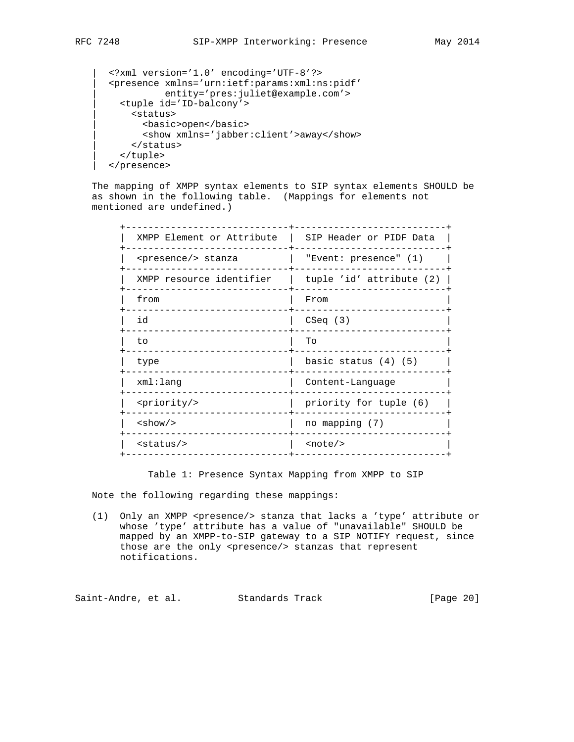```
 | <?xml version='1.0' encoding='UTF-8'?>
| <presence xmlns='urn:ietf:params:xml:ns:pidf'
           | entity='pres:juliet@example.com'>
 | <tuple id='ID-balcony'>
   | <status>
     | <basic>open</basic>
      | <show xmlns='jabber:client'>away</show>
   | </status>
 | </tuple>
| </presence>
```
 The mapping of XMPP syntax elements to SIP syntax elements SHOULD be as shown in the following table. (Mappings for elements not mentioned are undefined.)

| XMPP Element or Attribute    | SIP Header or PIDF Data  |
|------------------------------|--------------------------|
| <presence></presence> stanza | "Event: presence" (1)    |
| XMPP resource identifier     | tuple 'id' attribute (2) |
| from                         | From                     |
| id                           | CSeq(3)                  |
| to                           | To                       |
| type                         | basic status $(4)$ $(5)$ |
| xml:lang                     | Content-Language         |
| <priority></priority>        | priority for tuple (6)   |
| $<$ show $/$ >               | no mapping (7)           |
| $<$ status $/$ >             | $\text{note}/\text{>}$   |
|                              |                          |

Table 1: Presence Syntax Mapping from XMPP to SIP

Note the following regarding these mappings:

 (1) Only an XMPP <presence/> stanza that lacks a 'type' attribute or whose 'type' attribute has a value of "unavailable" SHOULD be mapped by an XMPP-to-SIP gateway to a SIP NOTIFY request, since those are the only <presence/> stanzas that represent notifications.

Saint-Andre, et al. Standards Track [Page 20]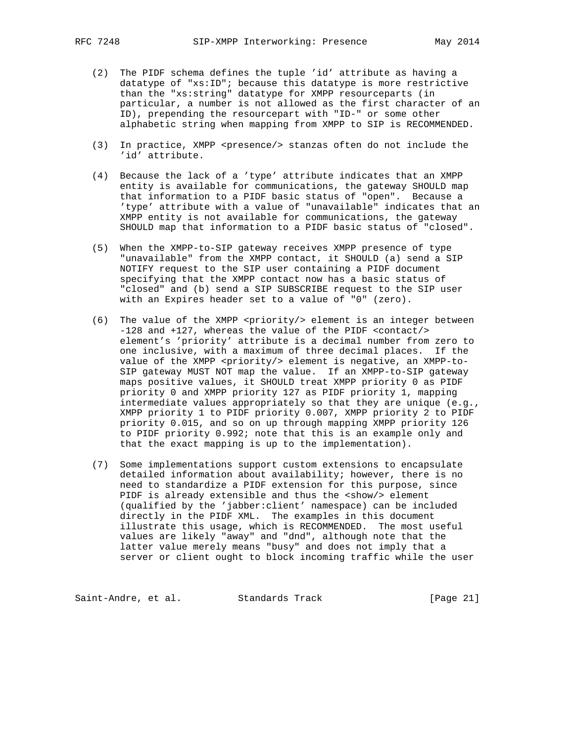- (2) The PIDF schema defines the tuple 'id' attribute as having a datatype of "xs:ID"; because this datatype is more restrictive than the "xs:string" datatype for XMPP resourceparts (in particular, a number is not allowed as the first character of an ID), prepending the resourcepart with "ID-" or some other alphabetic string when mapping from XMPP to SIP is RECOMMENDED.
- (3) In practice, XMPP <presence/> stanzas often do not include the 'id' attribute.
- (4) Because the lack of a 'type' attribute indicates that an XMPP entity is available for communications, the gateway SHOULD map that information to a PIDF basic status of "open". Because a 'type' attribute with a value of "unavailable" indicates that an XMPP entity is not available for communications, the gateway SHOULD map that information to a PIDF basic status of "closed".
- (5) When the XMPP-to-SIP gateway receives XMPP presence of type "unavailable" from the XMPP contact, it SHOULD (a) send a SIP NOTIFY request to the SIP user containing a PIDF document specifying that the XMPP contact now has a basic status of "closed" and (b) send a SIP SUBSCRIBE request to the SIP user with an Expires header set to a value of "0" (zero).
- (6) The value of the XMPP <priority/> element is an integer between -128 and +127, whereas the value of the PIDF <contact/> element's 'priority' attribute is a decimal number from zero to one inclusive, with a maximum of three decimal places. If the value of the XMPP <priority/> element is negative, an XMPP-to- SIP gateway MUST NOT map the value. If an XMPP-to-SIP gateway maps positive values, it SHOULD treat XMPP priority 0 as PIDF priority 0 and XMPP priority 127 as PIDF priority 1, mapping intermediate values appropriately so that they are unique (e.g., XMPP priority 1 to PIDF priority 0.007, XMPP priority 2 to PIDF priority 0.015, and so on up through mapping XMPP priority 126 to PIDF priority 0.992; note that this is an example only and that the exact mapping is up to the implementation).
- (7) Some implementations support custom extensions to encapsulate detailed information about availability; however, there is no need to standardize a PIDF extension for this purpose, since PIDF is already extensible and thus the <show/> element (qualified by the 'jabber:client' namespace) can be included directly in the PIDF XML. The examples in this document illustrate this usage, which is RECOMMENDED. The most useful values are likely "away" and "dnd", although note that the latter value merely means "busy" and does not imply that a server or client ought to block incoming traffic while the user

Saint-Andre, et al. Standards Track [Page 21]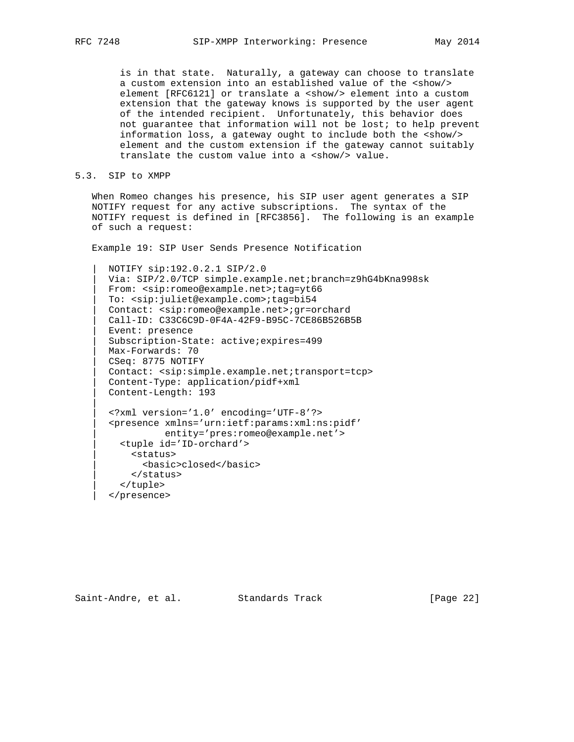is in that state. Naturally, a gateway can choose to translate a custom extension into an established value of the <show/> element [RFC6121] or translate a <show/> element into a custom extension that the gateway knows is supported by the user agent of the intended recipient. Unfortunately, this behavior does not guarantee that information will not be lost; to help prevent information loss, a gateway ought to include both the <show/> element and the custom extension if the gateway cannot suitably translate the custom value into a <show/> value.

### 5.3. SIP to XMPP

|| ||

 When Romeo changes his presence, his SIP user agent generates a SIP NOTIFY request for any active subscriptions. The syntax of the NOTIFY request is defined in [RFC3856]. The following is an example of such a request:

Example 19: SIP User Sends Presence Notification

 | NOTIFY sip:192.0.2.1 SIP/2.0 | Via: SIP/2.0/TCP simple.example.net;branch=z9hG4bKna998sk | From: <sip:romeo@example.net>;tag=yt66 | To: <sip:juliet@example.com>;tag=bi54 | Contact: <sip:romeo@example.net>;gr=orchard | Call-ID: C33C6C9D-0F4A-42F9-B95C-7CE86B526B5B | Event: presence | Subscription-State: active;expires=499 | Max-Forwards: 70 | CSeq: 8775 NOTIFY | Contact: <sip:simple.example.net;transport=tcp> | Content-Type: application/pidf+xml | Content-Length: 193 | <?xml version='1.0' encoding='UTF-8'?> | <presence xmlns='urn:ietf:params:xml:ns:pidf' | entity='pres:romeo@example.net'> | <tuple id='ID-orchard'> | <status> | <basic>closed</basic> | </status> | </tuple> | </presence>

Saint-Andre, et al. Standards Track [Page 22]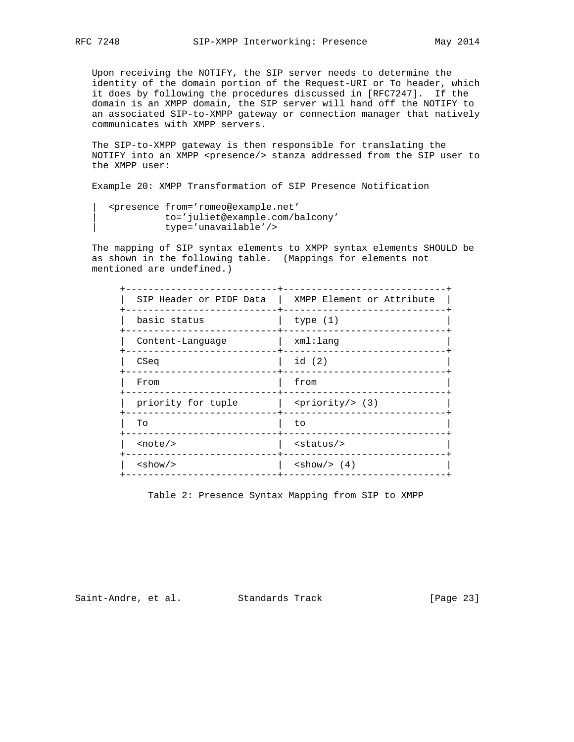Upon receiving the NOTIFY, the SIP server needs to determine the identity of the domain portion of the Request-URI or To header, which it does by following the procedures discussed in [RFC7247]. If the domain is an XMPP domain, the SIP server will hand off the NOTIFY to an associated SIP-to-XMPP gateway or connection manager that natively communicates with XMPP servers.

 The SIP-to-XMPP gateway is then responsible for translating the NOTIFY into an XMPP <presence/> stanza addressed from the SIP user to the XMPP user:

Example 20: XMPP Transformation of SIP Presence Notification

```
 | <presence from='romeo@example.net'
          | to='juliet@example.com/balcony'
          | type='unavailable'/>
```
 The mapping of SIP syntax elements to XMPP syntax elements SHOULD be as shown in the following table. (Mappings for elements not mentioned are undefined.)

| SIP Header or PIDF Data   | XMPP Element or Attribute              |
|---------------------------|----------------------------------------|
| basic status              | type $(1)$                             |
| Content-Language          | xml:lang                               |
| CSeq                      | id (2)                                 |
| From                      | from                                   |
| priority for tuple        | $\langle \text{priority/} \rangle$ (3) |
| To                        | to                                     |
| $\text{note}/\text{>}$    | $<$ status $/$ >                       |
| $\langle$ show/ $\rangle$ | $\langle \text{show}/\rangle$ (4)      |
|                           |                                        |

Table 2: Presence Syntax Mapping from SIP to XMPP

Saint-Andre, et al. Standards Track [Page 23]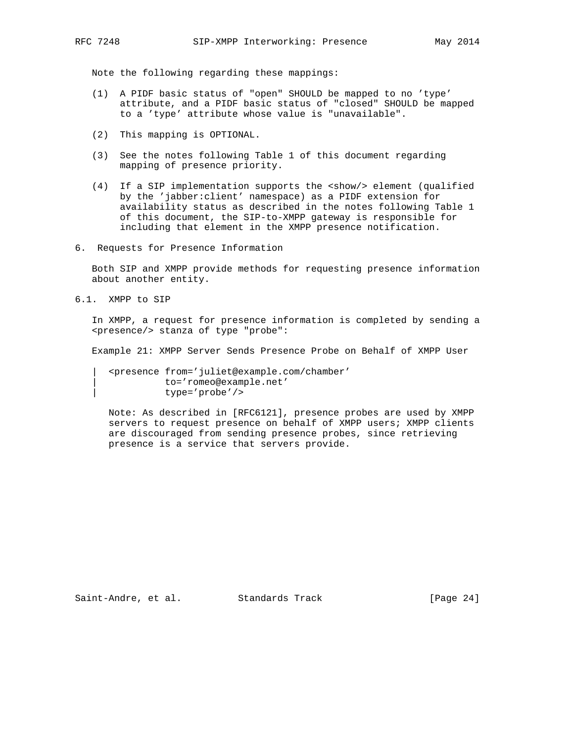Note the following regarding these mappings:

- (1) A PIDF basic status of "open" SHOULD be mapped to no 'type' attribute, and a PIDF basic status of "closed" SHOULD be mapped to a 'type' attribute whose value is "unavailable".
- (2) This mapping is OPTIONAL.
- (3) See the notes following Table 1 of this document regarding mapping of presence priority.
- (4) If a SIP implementation supports the <show/> element (qualified by the 'jabber:client' namespace) as a PIDF extension for availability status as described in the notes following Table 1 of this document, the SIP-to-XMPP gateway is responsible for including that element in the XMPP presence notification.
- 6. Requests for Presence Information

 Both SIP and XMPP provide methods for requesting presence information about another entity.

6.1. XMPP to SIP

 In XMPP, a request for presence information is completed by sending a <presence/> stanza of type "probe":

Example 21: XMPP Server Sends Presence Probe on Behalf of XMPP User

 | <presence from='juliet@example.com/chamber' | to='romeo@example.net' | type='probe'/>

 Note: As described in [RFC6121], presence probes are used by XMPP servers to request presence on behalf of XMPP users; XMPP clients are discouraged from sending presence probes, since retrieving presence is a service that servers provide.

Saint-Andre, et al. Standards Track [Page 24]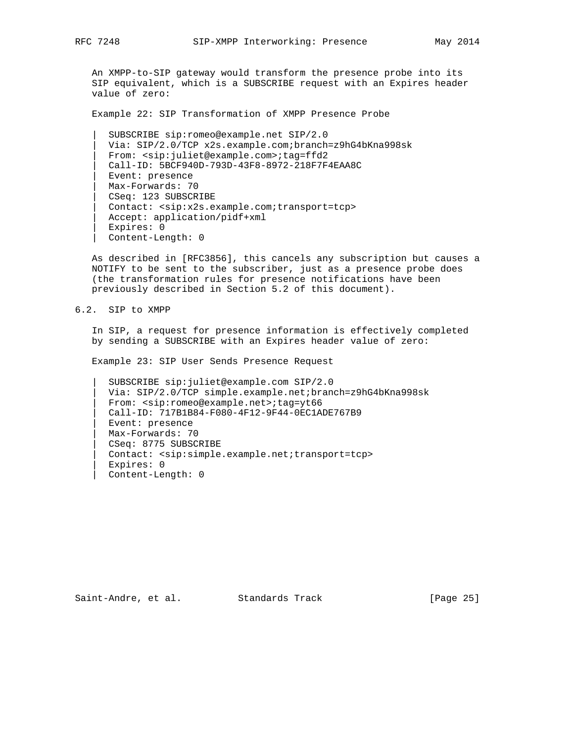An XMPP-to-SIP gateway would transform the presence probe into its SIP equivalent, which is a SUBSCRIBE request with an Expires header value of zero:

Example 22: SIP Transformation of XMPP Presence Probe

 | SUBSCRIBE sip:romeo@example.net SIP/2.0 | Via: SIP/2.0/TCP x2s.example.com;branch=z9hG4bKna998sk | From: <sip:juliet@example.com>;tag=ffd2 | Call-ID: 5BCF940D-793D-43F8-8972-218F7F4EAA8C | Event: presence | Max-Forwards: 70 | CSeq: 123 SUBSCRIBE | Contact: <sip:x2s.example.com;transport=tcp> | Accept: application/pidf+xml | Expires: 0 | Content-Length: 0

 As described in [RFC3856], this cancels any subscription but causes a NOTIFY to be sent to the subscriber, just as a presence probe does (the transformation rules for presence notifications have been previously described in Section 5.2 of this document).

6.2. SIP to XMPP

 In SIP, a request for presence information is effectively completed by sending a SUBSCRIBE with an Expires header value of zero:

Example 23: SIP User Sends Presence Request

 | SUBSCRIBE sip:juliet@example.com SIP/2.0 | Via: SIP/2.0/TCP simple.example.net;branch=z9hG4bKna998sk | From: <sip:romeo@example.net>;tag=yt66 | Call-ID: 717B1B84-F080-4F12-9F44-0EC1ADE767B9 | Event: presence | Max-Forwards: 70 | CSeq: 8775 SUBSCRIBE | Contact: <sip:simple.example.net;transport=tcp> Expires: 0 | Content-Length: 0

Saint-Andre, et al. Standards Track [Page 25]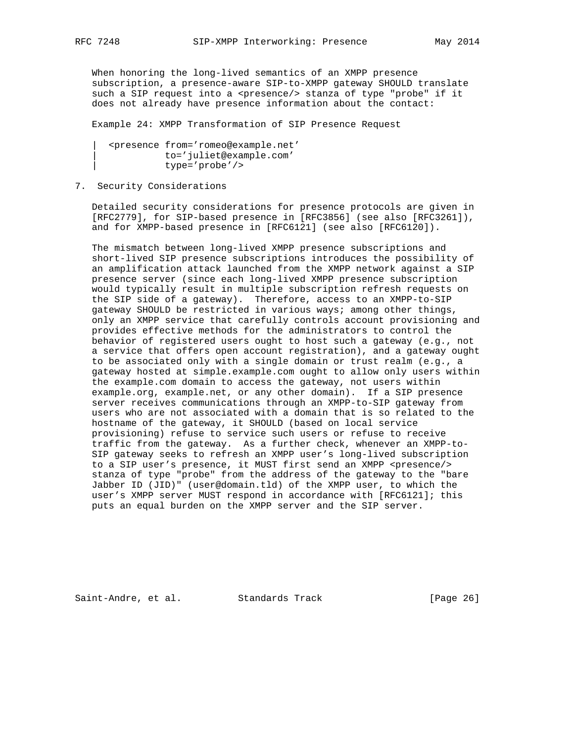When honoring the long-lived semantics of an XMPP presence subscription, a presence-aware SIP-to-XMPP gateway SHOULD translate such a SIP request into a <presence/> stanza of type "probe" if it does not already have presence information about the contact:

Example 24: XMPP Transformation of SIP Presence Request

 | <presence from='romeo@example.net' | to='juliet@example.com' | type='probe'/>

## 7. Security Considerations

 Detailed security considerations for presence protocols are given in [RFC2779], for SIP-based presence in [RFC3856] (see also [RFC3261]), and for XMPP-based presence in [RFC6121] (see also [RFC6120]).

 The mismatch between long-lived XMPP presence subscriptions and short-lived SIP presence subscriptions introduces the possibility of an amplification attack launched from the XMPP network against a SIP presence server (since each long-lived XMPP presence subscription would typically result in multiple subscription refresh requests on the SIP side of a gateway). Therefore, access to an XMPP-to-SIP gateway SHOULD be restricted in various ways; among other things, only an XMPP service that carefully controls account provisioning and provides effective methods for the administrators to control the behavior of registered users ought to host such a gateway (e.g., not a service that offers open account registration), and a gateway ought to be associated only with a single domain or trust realm (e.g., a gateway hosted at simple.example.com ought to allow only users within the example.com domain to access the gateway, not users within example.org, example.net, or any other domain). If a SIP presence server receives communications through an XMPP-to-SIP gateway from users who are not associated with a domain that is so related to the hostname of the gateway, it SHOULD (based on local service provisioning) refuse to service such users or refuse to receive traffic from the gateway. As a further check, whenever an XMPP-to- SIP gateway seeks to refresh an XMPP user's long-lived subscription to a SIP user's presence, it MUST first send an XMPP <presence/> stanza of type "probe" from the address of the gateway to the "bare Jabber ID (JID)" (user@domain.tld) of the XMPP user, to which the user's XMPP server MUST respond in accordance with [RFC6121]; this puts an equal burden on the XMPP server and the SIP server.

Saint-Andre, et al. Standards Track [Page 26]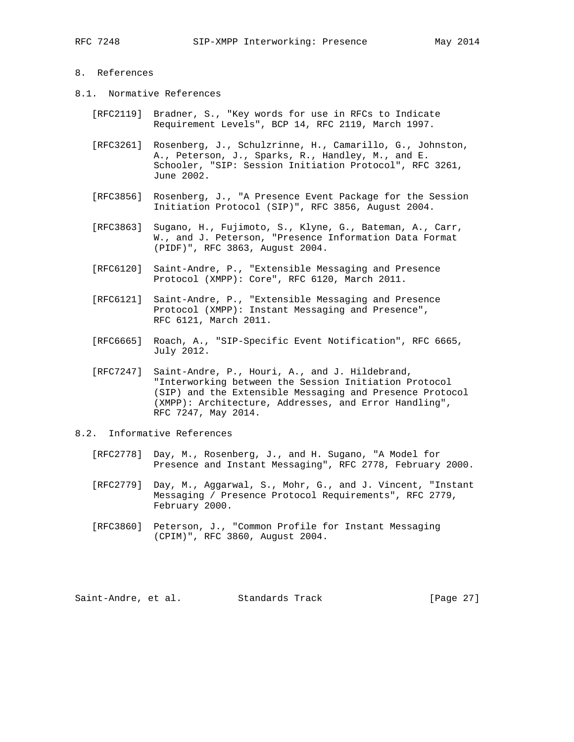# 8. References

- 8.1. Normative References
	- [RFC2119] Bradner, S., "Key words for use in RFCs to Indicate Requirement Levels", BCP 14, RFC 2119, March 1997.
	- [RFC3261] Rosenberg, J., Schulzrinne, H., Camarillo, G., Johnston, A., Peterson, J., Sparks, R., Handley, M., and E. Schooler, "SIP: Session Initiation Protocol", RFC 3261, June 2002.
	- [RFC3856] Rosenberg, J., "A Presence Event Package for the Session Initiation Protocol (SIP)", RFC 3856, August 2004.
	- [RFC3863] Sugano, H., Fujimoto, S., Klyne, G., Bateman, A., Carr, W., and J. Peterson, "Presence Information Data Format (PIDF)", RFC 3863, August 2004.
	- [RFC6120] Saint-Andre, P., "Extensible Messaging and Presence Protocol (XMPP): Core", RFC 6120, March 2011.
	- [RFC6121] Saint-Andre, P., "Extensible Messaging and Presence Protocol (XMPP): Instant Messaging and Presence", RFC 6121, March 2011.
	- [RFC6665] Roach, A., "SIP-Specific Event Notification", RFC 6665, July 2012.
	- [RFC7247] Saint-Andre, P., Houri, A., and J. Hildebrand, "Interworking between the Session Initiation Protocol (SIP) and the Extensible Messaging and Presence Protocol (XMPP): Architecture, Addresses, and Error Handling", RFC 7247, May 2014.

8.2. Informative References

- [RFC2778] Day, M., Rosenberg, J., and H. Sugano, "A Model for Presence and Instant Messaging", RFC 2778, February 2000.
- [RFC2779] Day, M., Aggarwal, S., Mohr, G., and J. Vincent, "Instant Messaging / Presence Protocol Requirements", RFC 2779, February 2000.
- [RFC3860] Peterson, J., "Common Profile for Instant Messaging (CPIM)", RFC 3860, August 2004.

Saint-Andre, et al. Standards Track [Page 27]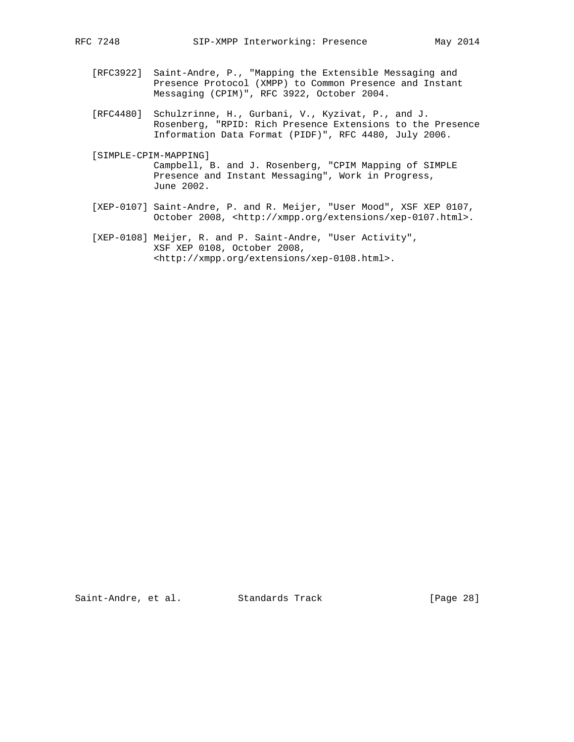- [RFC3922] Saint-Andre, P., "Mapping the Extensible Messaging and Presence Protocol (XMPP) to Common Presence and Instant Messaging (CPIM)", RFC 3922, October 2004.
- [RFC4480] Schulzrinne, H., Gurbani, V., Kyzivat, P., and J. Rosenberg, "RPID: Rich Presence Extensions to the Presence Information Data Format (PIDF)", RFC 4480, July 2006.
- [SIMPLE-CPIM-MAPPING] Campbell, B. and J. Rosenberg, "CPIM Mapping of SIMPLE Presence and Instant Messaging", Work in Progress, June 2002.
- [XEP-0107] Saint-Andre, P. and R. Meijer, "User Mood", XSF XEP 0107, October 2008, <http://xmpp.org/extensions/xep-0107.html>.
- [XEP-0108] Meijer, R. and P. Saint-Andre, "User Activity", XSF XEP 0108, October 2008, <http://xmpp.org/extensions/xep-0108.html>.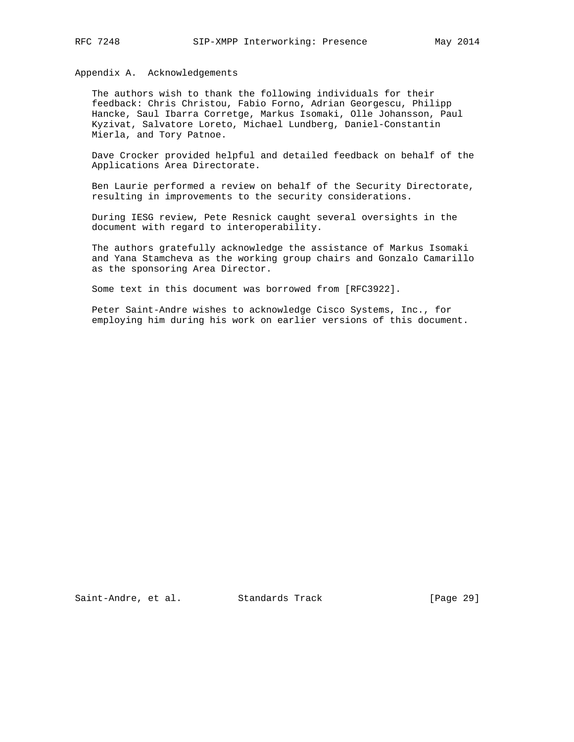Appendix A. Acknowledgements

 The authors wish to thank the following individuals for their feedback: Chris Christou, Fabio Forno, Adrian Georgescu, Philipp Hancke, Saul Ibarra Corretge, Markus Isomaki, Olle Johansson, Paul Kyzivat, Salvatore Loreto, Michael Lundberg, Daniel-Constantin Mierla, and Tory Patnoe.

 Dave Crocker provided helpful and detailed feedback on behalf of the Applications Area Directorate.

 Ben Laurie performed a review on behalf of the Security Directorate, resulting in improvements to the security considerations.

 During IESG review, Pete Resnick caught several oversights in the document with regard to interoperability.

 The authors gratefully acknowledge the assistance of Markus Isomaki and Yana Stamcheva as the working group chairs and Gonzalo Camarillo as the sponsoring Area Director.

Some text in this document was borrowed from [RFC3922].

 Peter Saint-Andre wishes to acknowledge Cisco Systems, Inc., for employing him during his work on earlier versions of this document.